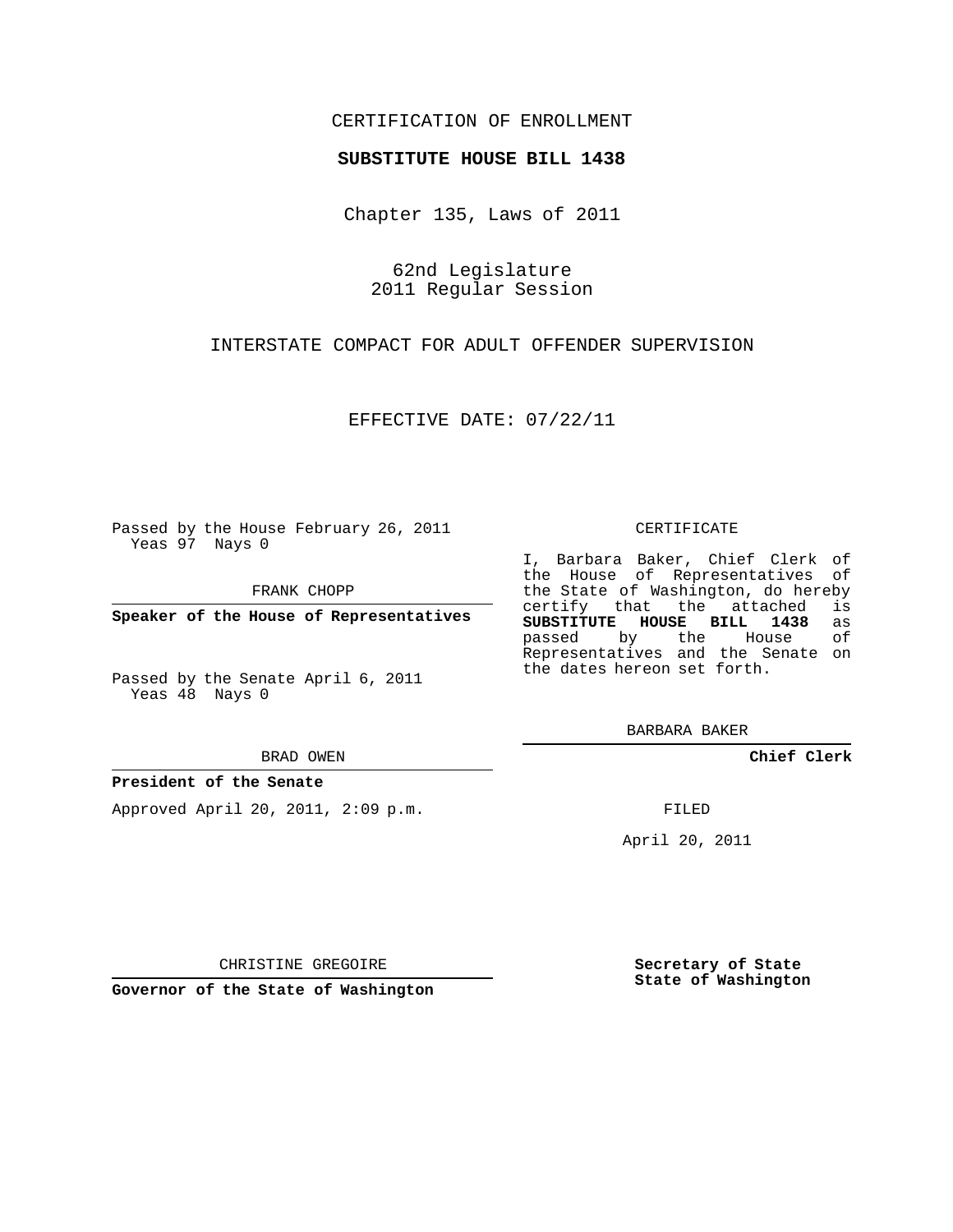## CERTIFICATION OF ENROLLMENT

### **SUBSTITUTE HOUSE BILL 1438**

Chapter 135, Laws of 2011

62nd Legislature 2011 Regular Session

INTERSTATE COMPACT FOR ADULT OFFENDER SUPERVISION

EFFECTIVE DATE: 07/22/11

Passed by the House February 26, 2011 Yeas 97 Nays 0

FRANK CHOPP

**Speaker of the House of Representatives**

Passed by the Senate April 6, 2011 Yeas 48 Nays 0

#### BRAD OWEN

### **President of the Senate**

Approved April 20, 2011, 2:09 p.m.

#### CERTIFICATE

I, Barbara Baker, Chief Clerk of the House of Representatives of the State of Washington, do hereby<br>certify that the attached is certify that the attached **SUBSTITUTE HOUSE BILL 1438** as passed by the House Representatives and the Senate on the dates hereon set forth.

BARBARA BAKER

**Chief Clerk**

FILED

April 20, 2011

CHRISTINE GREGOIRE

**Governor of the State of Washington**

**Secretary of State State of Washington**